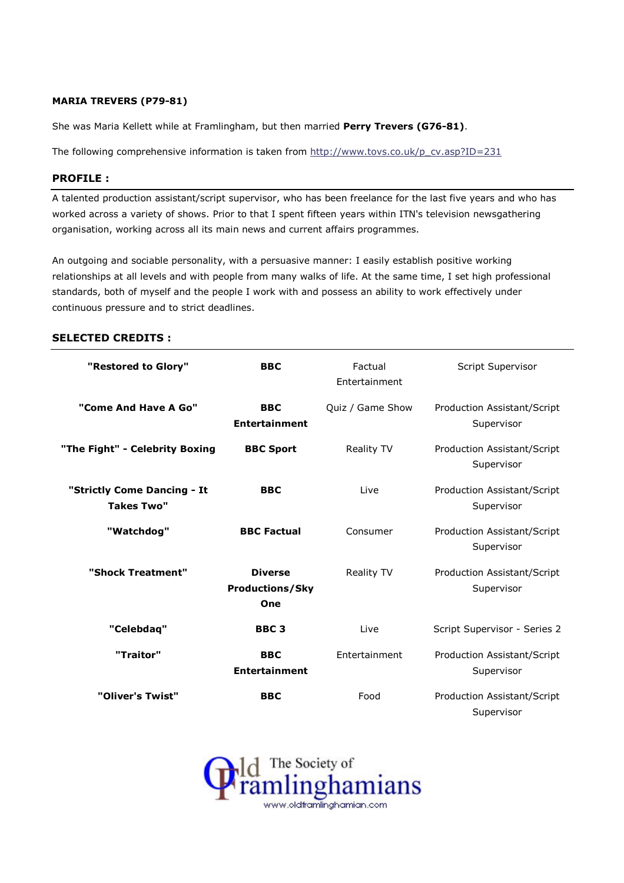# MARIA TREVERS (P79-81)

She was Maria Kellett while at Framlingham, but then married Perry Trevers (G76-81).

The following comprehensive information is taken from http://www.tovs.co.uk/p\_cv.asp?ID=231

#### PROFILE :

A talented production assistant/script supervisor, who has been freelance for the last five years and who has worked across a variety of shows. Prior to that I spent fifteen years within ITN's television newsgathering organisation, working across all its main news and current affairs programmes.

An outgoing and sociable personality, with a persuasive manner: I easily establish positive working relationships at all levels and with people from many walks of life. At the same time, I set high professional standards, both of myself and the people I work with and possess an ability to work effectively under continuous pressure and to strict deadlines.

### SELECTED CREDITS :

| "Restored to Glory"                              | <b>BBC</b>                                      | Factual<br>Entertainment | Script Supervisor                                |
|--------------------------------------------------|-------------------------------------------------|--------------------------|--------------------------------------------------|
| "Come And Have A Go"                             | <b>BBC</b><br><b>Entertainment</b>              | Quiz / Game Show         | <b>Production Assistant/Script</b><br>Supervisor |
| "The Fight" - Celebrity Boxing                   | <b>BBC Sport</b>                                | Reality TV               | Production Assistant/Script<br>Supervisor        |
| "Strictly Come Dancing - It<br><b>Takes Two"</b> | <b>BBC</b>                                      | Live                     | Production Assistant/Script<br>Supervisor        |
| "Watchdog"                                       | <b>BBC Factual</b>                              | Consumer                 | Production Assistant/Script<br>Supervisor        |
| "Shock Treatment"                                | <b>Diverse</b><br><b>Productions/Sky</b><br>One | <b>Reality TV</b>        | Production Assistant/Script<br>Supervisor        |
| "Celebdaq"                                       | BBC <sub>3</sub>                                | Live                     | Script Supervisor - Series 2                     |
| "Traitor"                                        | <b>BBC</b><br><b>Entertainment</b>              | Entertainment            | <b>Production Assistant/Script</b><br>Supervisor |
| "Oliver's Twist"                                 | <b>BBC</b>                                      | Food                     | Production Assistant/Script<br>Supervisor        |

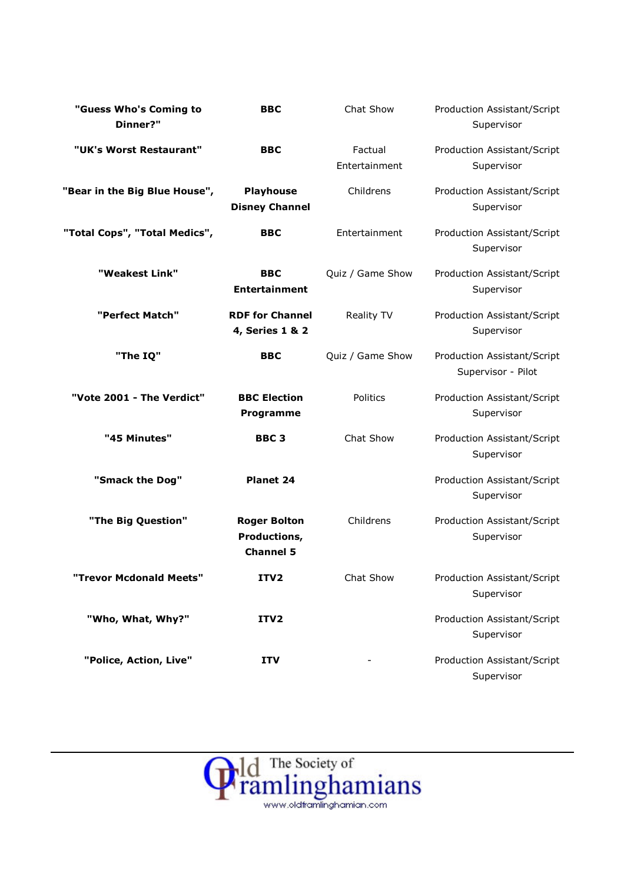| "Guess Who's Coming to<br>Dinner?" | <b>BBC</b>                                              | Chat Show                | Production Assistant/Script<br>Supervisor         |
|------------------------------------|---------------------------------------------------------|--------------------------|---------------------------------------------------|
| "UK's Worst Restaurant"            | <b>BBC</b>                                              | Factual<br>Entertainment | Production Assistant/Script<br>Supervisor         |
| "Bear in the Big Blue House",      | <b>Playhouse</b><br><b>Disney Channel</b>               | Childrens                | Production Assistant/Script<br>Supervisor         |
| "Total Cops", "Total Medics",      | <b>BBC</b>                                              | Entertainment            | Production Assistant/Script<br>Supervisor         |
| "Weakest Link"                     | <b>BBC</b><br><b>Entertainment</b>                      | Quiz / Game Show         | Production Assistant/Script<br>Supervisor         |
| "Perfect Match"                    | <b>RDF for Channel</b><br>4, Series 1 & 2               | Reality TV               | Production Assistant/Script<br>Supervisor         |
| "The IQ"                           | <b>BBC</b>                                              | Quiz / Game Show         | Production Assistant/Script<br>Supervisor - Pilot |
| "Vote 2001 - The Verdict"          | <b>BBC Election</b><br>Programme                        | Politics                 | Production Assistant/Script<br>Supervisor         |
| "45 Minutes"                       | BBC <sub>3</sub>                                        | Chat Show                | Production Assistant/Script<br>Supervisor         |
| "Smack the Dog"                    | <b>Planet 24</b>                                        |                          | Production Assistant/Script<br>Supervisor         |
| "The Big Question"                 | <b>Roger Bolton</b><br>Productions,<br><b>Channel 5</b> | Childrens                | Production Assistant/Script<br>Supervisor         |
| "Trevor Mcdonald Meets"            | ITV2                                                    | Chat Show                | Production Assistant/Script<br>Supervisor         |
| "Who, What, Why?"                  | ITV2                                                    |                          | Production Assistant/Script<br>Supervisor         |
| "Police, Action, Live"             | <b>ITV</b>                                              |                          | Production Assistant/Script<br>Supervisor         |